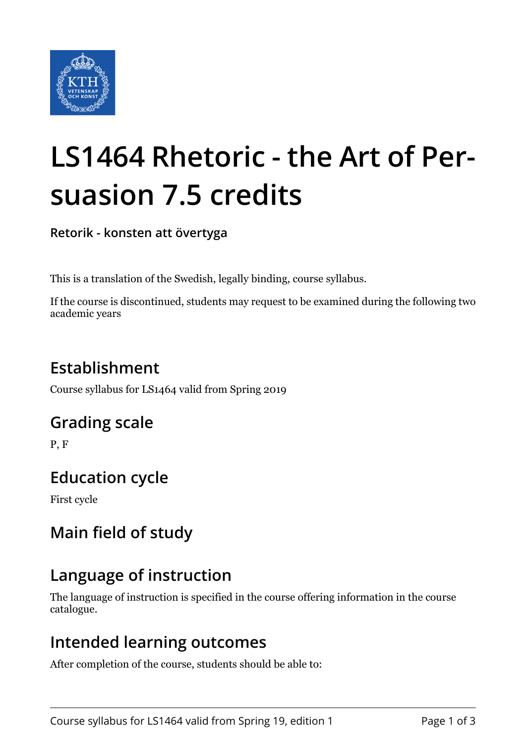

# **LS1464 Rhetoric - the Art of Persuasion 7.5 credits**

**Retorik - konsten att övertyga**

This is a translation of the Swedish, legally binding, course syllabus.

If the course is discontinued, students may request to be examined during the following two academic years

# **Establishment**

Course syllabus for LS1464 valid from Spring 2019

## **Grading scale**

P, F

# **Education cycle**

First cycle

# **Main field of study**

# **Language of instruction**

The language of instruction is specified in the course offering information in the course catalogue.

## **Intended learning outcomes**

After completion of the course, students should be able to: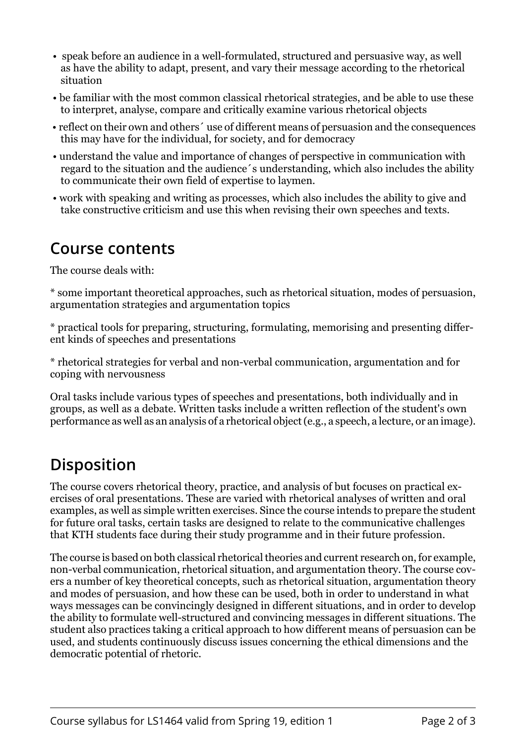- speak before an audience in a well-formulated, structured and persuasive way, as well as have the ability to adapt, present, and vary their message according to the rhetorical situation
- be familiar with the most common classical rhetorical strategies, and be able to use these to interpret, analyse, compare and critically examine various rhetorical objects
- reflect on their own and others´ use of different means of persuasion and the consequences this may have for the individual, for society, and for democracy
- understand the value and importance of changes of perspective in communication with regard to the situation and the audience´s understanding, which also includes the ability to communicate their own field of expertise to laymen.
- work with speaking and writing as processes, which also includes the ability to give and take constructive criticism and use this when revising their own speeches and texts.

#### **Course contents**

The course deals with:

\* some important theoretical approaches, such as rhetorical situation, modes of persuasion, argumentation strategies and argumentation topics

\* practical tools for preparing, structuring, formulating, memorising and presenting different kinds of speeches and presentations

\* rhetorical strategies for verbal and non-verbal communication, argumentation and for coping with nervousness

Oral tasks include various types of speeches and presentations, both individually and in groups, as well as a debate. Written tasks include a written reflection of the student's own performance as well as an analysis of a rhetorical object (e.g., a speech, a lecture, or an image).

# **Disposition**

The course covers rhetorical theory, practice, and analysis of but focuses on practical exercises of oral presentations. These are varied with rhetorical analyses of written and oral examples, as well as simple written exercises. Since the course intends to prepare the student for future oral tasks, certain tasks are designed to relate to the communicative challenges that KTH students face during their study programme and in their future profession.

The course is based on both classical rhetorical theories and current research on, for example, non-verbal communication, rhetorical situation, and argumentation theory. The course covers a number of key theoretical concepts, such as rhetorical situation, argumentation theory and modes of persuasion, and how these can be used, both in order to understand in what ways messages can be convincingly designed in different situations, and in order to develop the ability to formulate well-structured and convincing messages in different situations. The student also practices taking a critical approach to how different means of persuasion can be used, and students continuously discuss issues concerning the ethical dimensions and the democratic potential of rhetoric.